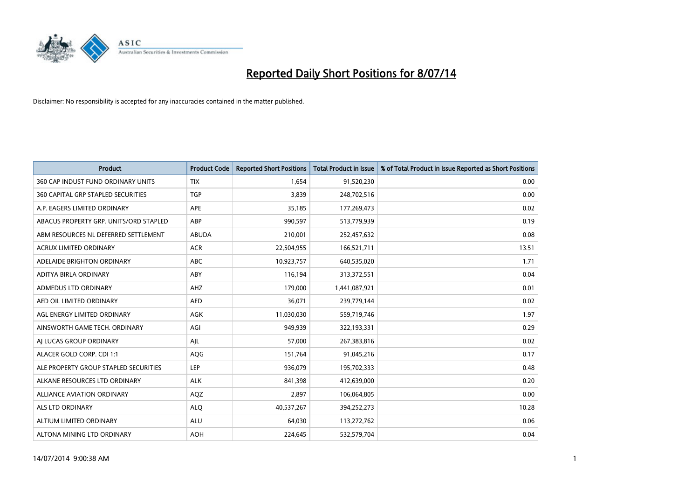

| <b>Product</b>                         | <b>Product Code</b> | <b>Reported Short Positions</b> | <b>Total Product in Issue</b> | % of Total Product in Issue Reported as Short Positions |
|----------------------------------------|---------------------|---------------------------------|-------------------------------|---------------------------------------------------------|
| 360 CAP INDUST FUND ORDINARY UNITS     | <b>TIX</b>          | 1,654                           | 91,520,230                    | 0.00                                                    |
| 360 CAPITAL GRP STAPLED SECURITIES     | <b>TGP</b>          | 3,839                           | 248,702,516                   | 0.00                                                    |
| A.P. EAGERS LIMITED ORDINARY           | <b>APE</b>          | 35,185                          | 177,269,473                   | 0.02                                                    |
| ABACUS PROPERTY GRP. UNITS/ORD STAPLED | ABP                 | 990,597                         | 513,779,939                   | 0.19                                                    |
| ABM RESOURCES NL DEFERRED SETTLEMENT   | ABUDA               | 210,001                         | 252,457,632                   | 0.08                                                    |
| <b>ACRUX LIMITED ORDINARY</b>          | <b>ACR</b>          | 22,504,955                      | 166,521,711                   | 13.51                                                   |
| ADELAIDE BRIGHTON ORDINARY             | <b>ABC</b>          | 10,923,757                      | 640,535,020                   | 1.71                                                    |
| ADITYA BIRLA ORDINARY                  | ABY                 | 116,194                         | 313,372,551                   | 0.04                                                    |
| <b>ADMEDUS LTD ORDINARY</b>            | AHZ                 | 179,000                         | 1,441,087,921                 | 0.01                                                    |
| AED OIL LIMITED ORDINARY               | <b>AED</b>          | 36,071                          | 239,779,144                   | 0.02                                                    |
| AGL ENERGY LIMITED ORDINARY            | AGK                 | 11,030,030                      | 559,719,746                   | 1.97                                                    |
| AINSWORTH GAME TECH. ORDINARY          | AGI                 | 949,939                         | 322,193,331                   | 0.29                                                    |
| AI LUCAS GROUP ORDINARY                | AJL                 | 57,000                          | 267,383,816                   | 0.02                                                    |
| ALACER GOLD CORP. CDI 1:1              | <b>AQG</b>          | 151,764                         | 91,045,216                    | 0.17                                                    |
| ALE PROPERTY GROUP STAPLED SECURITIES  | LEP                 | 936,079                         | 195,702,333                   | 0.48                                                    |
| ALKANE RESOURCES LTD ORDINARY          | <b>ALK</b>          | 841,398                         | 412,639,000                   | 0.20                                                    |
| ALLIANCE AVIATION ORDINARY             | AQZ                 | 2,897                           | 106,064,805                   | 0.00                                                    |
| <b>ALS LTD ORDINARY</b>                | <b>ALQ</b>          | 40,537,267                      | 394,252,273                   | 10.28                                                   |
| ALTIUM LIMITED ORDINARY                | <b>ALU</b>          | 64,030                          | 113,272,762                   | 0.06                                                    |
| ALTONA MINING LTD ORDINARY             | <b>AOH</b>          | 224,645                         | 532,579,704                   | 0.04                                                    |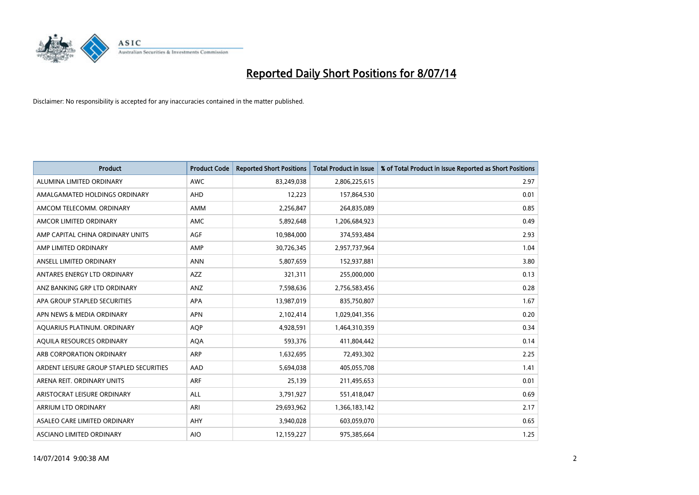

| <b>Product</b>                          | <b>Product Code</b> | <b>Reported Short Positions</b> | <b>Total Product in Issue</b> | % of Total Product in Issue Reported as Short Positions |
|-----------------------------------------|---------------------|---------------------------------|-------------------------------|---------------------------------------------------------|
| ALUMINA LIMITED ORDINARY                | <b>AWC</b>          | 83,249,038                      | 2,806,225,615                 | 2.97                                                    |
| AMALGAMATED HOLDINGS ORDINARY           | AHD                 | 12,223                          | 157,864,530                   | 0.01                                                    |
| AMCOM TELECOMM. ORDINARY                | AMM                 | 2,256,847                       | 264,835,089                   | 0.85                                                    |
| AMCOR LIMITED ORDINARY                  | AMC                 | 5,892,648                       | 1,206,684,923                 | 0.49                                                    |
| AMP CAPITAL CHINA ORDINARY UNITS        | AGF                 | 10,984,000                      | 374,593,484                   | 2.93                                                    |
| AMP LIMITED ORDINARY                    | AMP                 | 30,726,345                      | 2,957,737,964                 | 1.04                                                    |
| ANSELL LIMITED ORDINARY                 | <b>ANN</b>          | 5,807,659                       | 152,937,881                   | 3.80                                                    |
| ANTARES ENERGY LTD ORDINARY             | AZZ                 | 321,311                         | 255,000,000                   | 0.13                                                    |
| ANZ BANKING GRP LTD ORDINARY            | ANZ                 | 7,598,636                       | 2,756,583,456                 | 0.28                                                    |
| APA GROUP STAPLED SECURITIES            | APA                 | 13,987,019                      | 835,750,807                   | 1.67                                                    |
| APN NEWS & MEDIA ORDINARY               | <b>APN</b>          | 2,102,414                       | 1,029,041,356                 | 0.20                                                    |
| AQUARIUS PLATINUM. ORDINARY             | AQP                 | 4,928,591                       | 1,464,310,359                 | 0.34                                                    |
| AQUILA RESOURCES ORDINARY               | <b>AQA</b>          | 593,376                         | 411,804,442                   | 0.14                                                    |
| ARB CORPORATION ORDINARY                | ARP                 | 1,632,695                       | 72,493,302                    | 2.25                                                    |
| ARDENT LEISURE GROUP STAPLED SECURITIES | AAD                 | 5,694,038                       | 405,055,708                   | 1.41                                                    |
| ARENA REIT. ORDINARY UNITS              | <b>ARF</b>          | 25,139                          | 211,495,653                   | 0.01                                                    |
| ARISTOCRAT LEISURE ORDINARY             | ALL                 | 3,791,927                       | 551,418,047                   | 0.69                                                    |
| ARRIUM LTD ORDINARY                     | ARI                 | 29,693,962                      | 1,366,183,142                 | 2.17                                                    |
| ASALEO CARE LIMITED ORDINARY            | AHY                 | 3,940,028                       | 603,059,070                   | 0.65                                                    |
| ASCIANO LIMITED ORDINARY                | <b>AIO</b>          | 12,159,227                      | 975,385,664                   | 1.25                                                    |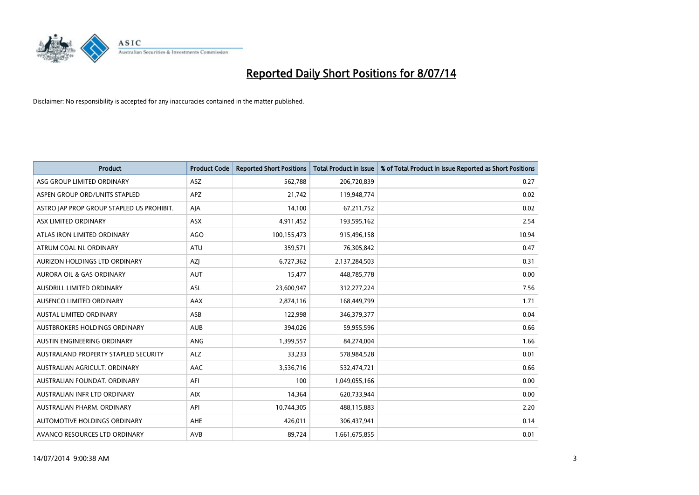

| <b>Product</b>                            | <b>Product Code</b> | <b>Reported Short Positions</b> | <b>Total Product in Issue</b> | % of Total Product in Issue Reported as Short Positions |
|-------------------------------------------|---------------------|---------------------------------|-------------------------------|---------------------------------------------------------|
| ASG GROUP LIMITED ORDINARY                | <b>ASZ</b>          | 562,788                         | 206,720,839                   | 0.27                                                    |
| ASPEN GROUP ORD/UNITS STAPLED             | <b>APZ</b>          | 21,742                          | 119,948,774                   | 0.02                                                    |
| ASTRO JAP PROP GROUP STAPLED US PROHIBIT. | AJA                 | 14,100                          | 67,211,752                    | 0.02                                                    |
| ASX LIMITED ORDINARY                      | ASX                 | 4,911,452                       | 193,595,162                   | 2.54                                                    |
| ATLAS IRON LIMITED ORDINARY               | <b>AGO</b>          | 100,155,473                     | 915,496,158                   | 10.94                                                   |
| ATRUM COAL NL ORDINARY                    | <b>ATU</b>          | 359,571                         | 76,305,842                    | 0.47                                                    |
| AURIZON HOLDINGS LTD ORDINARY             | AZJ                 | 6,727,362                       | 2,137,284,503                 | 0.31                                                    |
| AURORA OIL & GAS ORDINARY                 | <b>AUT</b>          | 15,477                          | 448,785,778                   | 0.00                                                    |
| AUSDRILL LIMITED ORDINARY                 | ASL                 | 23,600,947                      | 312,277,224                   | 7.56                                                    |
| AUSENCO LIMITED ORDINARY                  | AAX                 | 2,874,116                       | 168,449,799                   | 1.71                                                    |
| AUSTAL LIMITED ORDINARY                   | ASB                 | 122,998                         | 346, 379, 377                 | 0.04                                                    |
| <b>AUSTBROKERS HOLDINGS ORDINARY</b>      | <b>AUB</b>          | 394,026                         | 59,955,596                    | 0.66                                                    |
| AUSTIN ENGINEERING ORDINARY               | ANG                 | 1,399,557                       | 84,274,004                    | 1.66                                                    |
| AUSTRALAND PROPERTY STAPLED SECURITY      | <b>ALZ</b>          | 33,233                          | 578,984,528                   | 0.01                                                    |
| AUSTRALIAN AGRICULT, ORDINARY             | AAC                 | 3,536,716                       | 532,474,721                   | 0.66                                                    |
| AUSTRALIAN FOUNDAT. ORDINARY              | AFI                 | 100                             | 1,049,055,166                 | 0.00                                                    |
| AUSTRALIAN INFR LTD ORDINARY              | <b>AIX</b>          | 14,364                          | 620,733,944                   | 0.00                                                    |
| AUSTRALIAN PHARM, ORDINARY                | API                 | 10,744,305                      | 488,115,883                   | 2.20                                                    |
| AUTOMOTIVE HOLDINGS ORDINARY              | <b>AHE</b>          | 426,011                         | 306,437,941                   | 0.14                                                    |
| AVANCO RESOURCES LTD ORDINARY             | AVB                 | 89,724                          | 1,661,675,855                 | 0.01                                                    |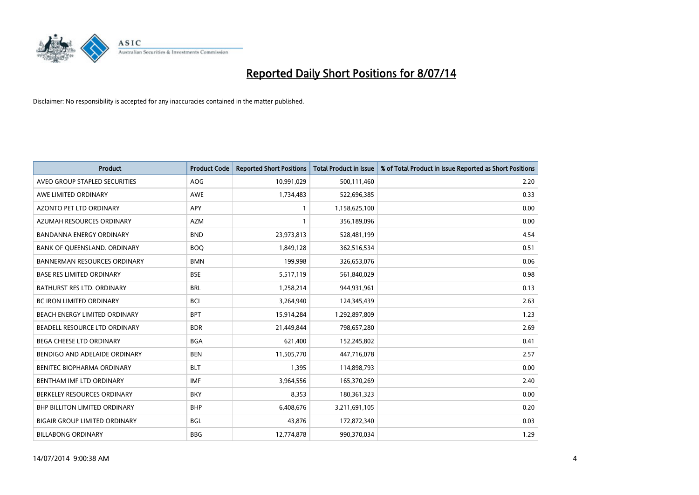

| <b>Product</b>                       | <b>Product Code</b> | <b>Reported Short Positions</b> | <b>Total Product in Issue</b> | % of Total Product in Issue Reported as Short Positions |
|--------------------------------------|---------------------|---------------------------------|-------------------------------|---------------------------------------------------------|
| AVEO GROUP STAPLED SECURITIES        | AOG                 | 10,991,029                      | 500,111,460                   | 2.20                                                    |
| AWE LIMITED ORDINARY                 | AWE                 | 1,734,483                       | 522,696,385                   | 0.33                                                    |
| <b>AZONTO PET LTD ORDINARY</b>       | <b>APY</b>          | 1                               | 1,158,625,100                 | 0.00                                                    |
| AZUMAH RESOURCES ORDINARY            | <b>AZM</b>          | $\mathbf{1}$                    | 356,189,096                   | 0.00                                                    |
| <b>BANDANNA ENERGY ORDINARY</b>      | <b>BND</b>          | 23,973,813                      | 528,481,199                   | 4.54                                                    |
| BANK OF QUEENSLAND. ORDINARY         | <b>BOQ</b>          | 1,849,128                       | 362,516,534                   | 0.51                                                    |
| <b>BANNERMAN RESOURCES ORDINARY</b>  | <b>BMN</b>          | 199,998                         | 326,653,076                   | 0.06                                                    |
| <b>BASE RES LIMITED ORDINARY</b>     | <b>BSE</b>          | 5,517,119                       | 561,840,029                   | 0.98                                                    |
| <b>BATHURST RES LTD. ORDINARY</b>    | <b>BRL</b>          | 1,258,214                       | 944,931,961                   | 0.13                                                    |
| <b>BC IRON LIMITED ORDINARY</b>      | <b>BCI</b>          | 3,264,940                       | 124,345,439                   | 2.63                                                    |
| BEACH ENERGY LIMITED ORDINARY        | <b>BPT</b>          | 15,914,284                      | 1,292,897,809                 | 1.23                                                    |
| BEADELL RESOURCE LTD ORDINARY        | <b>BDR</b>          | 21,449,844                      | 798,657,280                   | 2.69                                                    |
| <b>BEGA CHEESE LTD ORDINARY</b>      | <b>BGA</b>          | 621,400                         | 152,245,802                   | 0.41                                                    |
| BENDIGO AND ADELAIDE ORDINARY        | <b>BEN</b>          | 11,505,770                      | 447,716,078                   | 2.57                                                    |
| BENITEC BIOPHARMA ORDINARY           | <b>BLT</b>          | 1,395                           | 114,898,793                   | 0.00                                                    |
| BENTHAM IMF LTD ORDINARY             | <b>IMF</b>          | 3,964,556                       | 165,370,269                   | 2.40                                                    |
| BERKELEY RESOURCES ORDINARY          | <b>BKY</b>          | 8,353                           | 180,361,323                   | 0.00                                                    |
| <b>BHP BILLITON LIMITED ORDINARY</b> | <b>BHP</b>          | 6,408,676                       | 3,211,691,105                 | 0.20                                                    |
| <b>BIGAIR GROUP LIMITED ORDINARY</b> | <b>BGL</b>          | 43,876                          | 172,872,340                   | 0.03                                                    |
| <b>BILLABONG ORDINARY</b>            | <b>BBG</b>          | 12,774,878                      | 990,370,034                   | 1.29                                                    |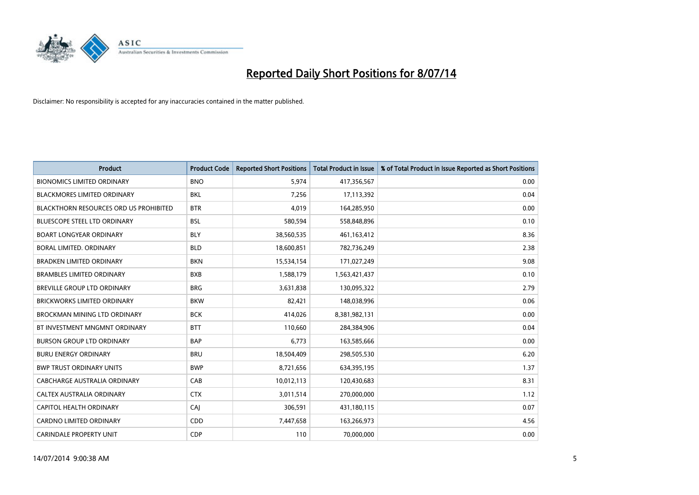

| <b>Product</b>                         | <b>Product Code</b> | <b>Reported Short Positions</b> | <b>Total Product in Issue</b> | % of Total Product in Issue Reported as Short Positions |
|----------------------------------------|---------------------|---------------------------------|-------------------------------|---------------------------------------------------------|
| <b>BIONOMICS LIMITED ORDINARY</b>      | <b>BNO</b>          | 5,974                           | 417,356,567                   | 0.00                                                    |
| <b>BLACKMORES LIMITED ORDINARY</b>     | <b>BKL</b>          | 7,256                           | 17,113,392                    | 0.04                                                    |
| BLACKTHORN RESOURCES ORD US PROHIBITED | <b>BTR</b>          | 4,019                           | 164,285,950                   | 0.00                                                    |
| BLUESCOPE STEEL LTD ORDINARY           | <b>BSL</b>          | 580,594                         | 558,848,896                   | 0.10                                                    |
| <b>BOART LONGYEAR ORDINARY</b>         | <b>BLY</b>          | 38,560,535                      | 461,163,412                   | 8.36                                                    |
| BORAL LIMITED, ORDINARY                | <b>BLD</b>          | 18,600,851                      | 782,736,249                   | 2.38                                                    |
| <b>BRADKEN LIMITED ORDINARY</b>        | <b>BKN</b>          | 15,534,154                      | 171,027,249                   | 9.08                                                    |
| <b>BRAMBLES LIMITED ORDINARY</b>       | <b>BXB</b>          | 1,588,179                       | 1,563,421,437                 | 0.10                                                    |
| BREVILLE GROUP LTD ORDINARY            | <b>BRG</b>          | 3,631,838                       | 130,095,322                   | 2.79                                                    |
| <b>BRICKWORKS LIMITED ORDINARY</b>     | <b>BKW</b>          | 82,421                          | 148,038,996                   | 0.06                                                    |
| <b>BROCKMAN MINING LTD ORDINARY</b>    | <b>BCK</b>          | 414,026                         | 8,381,982,131                 | 0.00                                                    |
| BT INVESTMENT MNGMNT ORDINARY          | <b>BTT</b>          | 110,660                         | 284,384,906                   | 0.04                                                    |
| <b>BURSON GROUP LTD ORDINARY</b>       | <b>BAP</b>          | 6,773                           | 163,585,666                   | 0.00                                                    |
| <b>BURU ENERGY ORDINARY</b>            | <b>BRU</b>          | 18,504,409                      | 298,505,530                   | 6.20                                                    |
| <b>BWP TRUST ORDINARY UNITS</b>        | <b>BWP</b>          | 8,721,656                       | 634,395,195                   | 1.37                                                    |
| CABCHARGE AUSTRALIA ORDINARY           | CAB                 | 10,012,113                      | 120,430,683                   | 8.31                                                    |
| CALTEX AUSTRALIA ORDINARY              | <b>CTX</b>          | 3,011,514                       | 270,000,000                   | 1.12                                                    |
| CAPITOL HEALTH ORDINARY                | CAJ                 | 306,591                         | 431,180,115                   | 0.07                                                    |
| <b>CARDNO LIMITED ORDINARY</b>         | CDD                 | 7,447,658                       | 163,266,973                   | 4.56                                                    |
| <b>CARINDALE PROPERTY UNIT</b>         | <b>CDP</b>          | 110                             | 70,000,000                    | 0.00                                                    |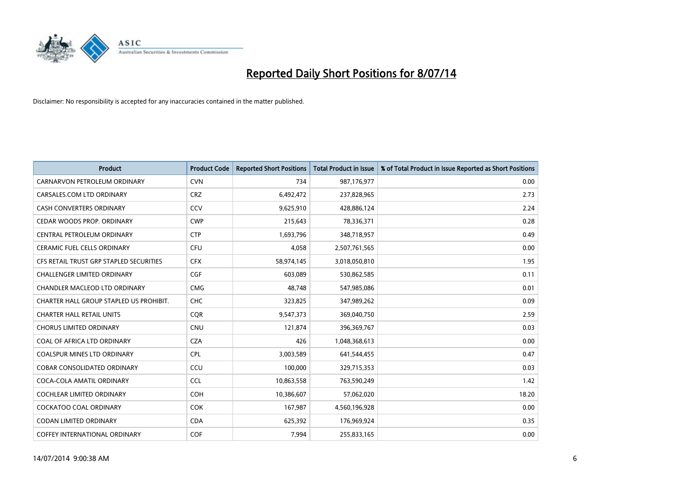

| <b>Product</b>                          | <b>Product Code</b> | <b>Reported Short Positions</b> | <b>Total Product in Issue</b> | % of Total Product in Issue Reported as Short Positions |
|-----------------------------------------|---------------------|---------------------------------|-------------------------------|---------------------------------------------------------|
| CARNARVON PETROLEUM ORDINARY            | <b>CVN</b>          | 734                             | 987,176,977                   | 0.00                                                    |
| CARSALES.COM LTD ORDINARY               | <b>CRZ</b>          | 6,492,472                       | 237,828,965                   | 2.73                                                    |
| <b>CASH CONVERTERS ORDINARY</b>         | CCV                 | 9,625,910                       | 428,886,124                   | 2.24                                                    |
| CEDAR WOODS PROP. ORDINARY              | <b>CWP</b>          | 215,643                         | 78,336,371                    | 0.28                                                    |
| CENTRAL PETROLEUM ORDINARY              | <b>CTP</b>          | 1,693,796                       | 348,718,957                   | 0.49                                                    |
| <b>CERAMIC FUEL CELLS ORDINARY</b>      | <b>CFU</b>          | 4,058                           | 2,507,761,565                 | 0.00                                                    |
| CFS RETAIL TRUST GRP STAPLED SECURITIES | <b>CFX</b>          | 58,974,145                      | 3,018,050,810                 | 1.95                                                    |
| <b>CHALLENGER LIMITED ORDINARY</b>      | <b>CGF</b>          | 603,089                         | 530,862,585                   | 0.11                                                    |
| CHANDLER MACLEOD LTD ORDINARY           | <b>CMG</b>          | 48.748                          | 547,985,086                   | 0.01                                                    |
| CHARTER HALL GROUP STAPLED US PROHIBIT. | <b>CHC</b>          | 323,825                         | 347,989,262                   | 0.09                                                    |
| <b>CHARTER HALL RETAIL UNITS</b>        | <b>CQR</b>          | 9,547,373                       | 369,040,750                   | 2.59                                                    |
| <b>CHORUS LIMITED ORDINARY</b>          | <b>CNU</b>          | 121,874                         | 396,369,767                   | 0.03                                                    |
| COAL OF AFRICA LTD ORDINARY             | <b>CZA</b>          | 426                             | 1,048,368,613                 | 0.00                                                    |
| <b>COALSPUR MINES LTD ORDINARY</b>      | <b>CPL</b>          | 3,003,589                       | 641,544,455                   | 0.47                                                    |
| <b>COBAR CONSOLIDATED ORDINARY</b>      | CCU                 | 100,000                         | 329,715,353                   | 0.03                                                    |
| COCA-COLA AMATIL ORDINARY               | <b>CCL</b>          | 10,863,558                      | 763,590,249                   | 1.42                                                    |
| COCHLEAR LIMITED ORDINARY               | <b>COH</b>          | 10,386,607                      | 57,062,020                    | 18.20                                                   |
| <b>COCKATOO COAL ORDINARY</b>           | COK                 | 167,987                         | 4,560,196,928                 | 0.00                                                    |
| <b>CODAN LIMITED ORDINARY</b>           | <b>CDA</b>          | 625,392                         | 176,969,924                   | 0.35                                                    |
| COFFEY INTERNATIONAL ORDINARY           | <b>COF</b>          | 7,994                           | 255,833,165                   | 0.00                                                    |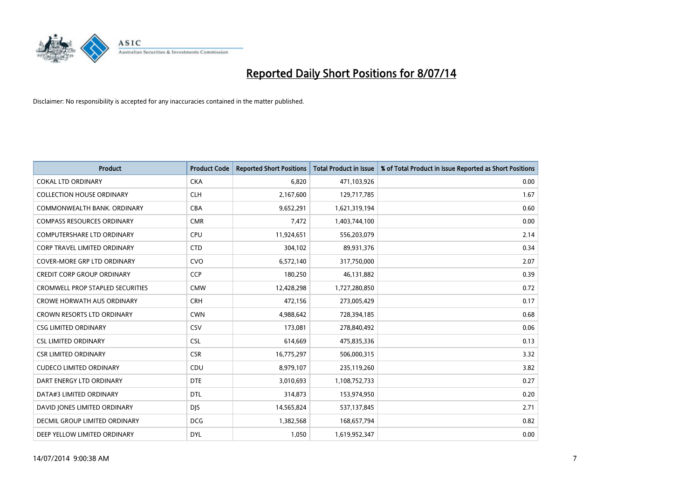

| <b>Product</b>                          | <b>Product Code</b> | <b>Reported Short Positions</b> | <b>Total Product in Issue</b> | % of Total Product in Issue Reported as Short Positions |
|-----------------------------------------|---------------------|---------------------------------|-------------------------------|---------------------------------------------------------|
| <b>COKAL LTD ORDINARY</b>               | <b>CKA</b>          | 6,820                           | 471,103,926                   | 0.00                                                    |
| <b>COLLECTION HOUSE ORDINARY</b>        | <b>CLH</b>          | 2,167,600                       | 129,717,785                   | 1.67                                                    |
| COMMONWEALTH BANK, ORDINARY             | <b>CBA</b>          | 9,652,291                       | 1,621,319,194                 | 0.60                                                    |
| <b>COMPASS RESOURCES ORDINARY</b>       | <b>CMR</b>          | 7,472                           | 1,403,744,100                 | 0.00                                                    |
| <b>COMPUTERSHARE LTD ORDINARY</b>       | <b>CPU</b>          | 11,924,651                      | 556,203,079                   | 2.14                                                    |
| <b>CORP TRAVEL LIMITED ORDINARY</b>     | <b>CTD</b>          | 304,102                         | 89,931,376                    | 0.34                                                    |
| <b>COVER-MORE GRP LTD ORDINARY</b>      | <b>CVO</b>          | 6,572,140                       | 317,750,000                   | 2.07                                                    |
| <b>CREDIT CORP GROUP ORDINARY</b>       | <b>CCP</b>          | 180,250                         | 46,131,882                    | 0.39                                                    |
| <b>CROMWELL PROP STAPLED SECURITIES</b> | <b>CMW</b>          | 12,428,298                      | 1,727,280,850                 | 0.72                                                    |
| <b>CROWE HORWATH AUS ORDINARY</b>       | <b>CRH</b>          | 472,156                         | 273,005,429                   | 0.17                                                    |
| CROWN RESORTS LTD ORDINARY              | <b>CWN</b>          | 4,988,642                       | 728,394,185                   | 0.68                                                    |
| <b>CSG LIMITED ORDINARY</b>             | <b>CSV</b>          | 173,081                         | 278,840,492                   | 0.06                                                    |
| <b>CSL LIMITED ORDINARY</b>             | <b>CSL</b>          | 614,669                         | 475,835,336                   | 0.13                                                    |
| <b>CSR LIMITED ORDINARY</b>             | <b>CSR</b>          | 16,775,297                      | 506,000,315                   | 3.32                                                    |
| <b>CUDECO LIMITED ORDINARY</b>          | CDU                 | 8,979,107                       | 235,119,260                   | 3.82                                                    |
| DART ENERGY LTD ORDINARY                | <b>DTE</b>          | 3,010,693                       | 1,108,752,733                 | 0.27                                                    |
| DATA#3 LIMITED ORDINARY                 | <b>DTL</b>          | 314,873                         | 153,974,950                   | 0.20                                                    |
| DAVID JONES LIMITED ORDINARY            | <b>DJS</b>          | 14,565,824                      | 537,137,845                   | 2.71                                                    |
| DECMIL GROUP LIMITED ORDINARY           | <b>DCG</b>          | 1,382,568                       | 168,657,794                   | 0.82                                                    |
| DEEP YELLOW LIMITED ORDINARY            | <b>DYL</b>          | 1,050                           | 1,619,952,347                 | 0.00                                                    |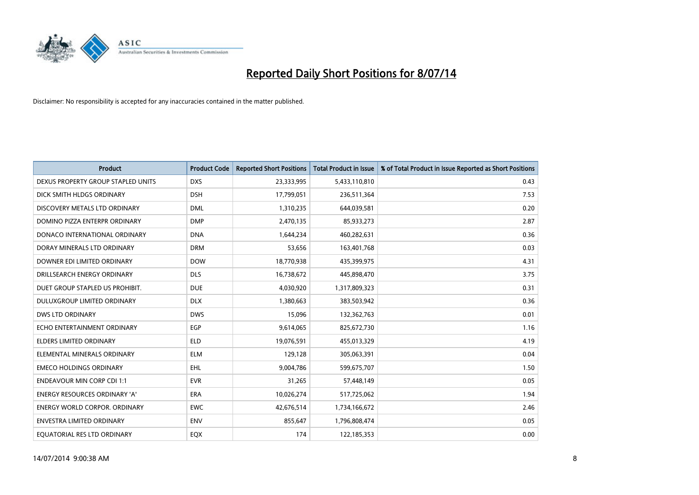

| <b>Product</b>                       | <b>Product Code</b> | <b>Reported Short Positions</b> | <b>Total Product in Issue</b> | % of Total Product in Issue Reported as Short Positions |
|--------------------------------------|---------------------|---------------------------------|-------------------------------|---------------------------------------------------------|
| DEXUS PROPERTY GROUP STAPLED UNITS   | <b>DXS</b>          | 23,333,995                      | 5,433,110,810                 | 0.43                                                    |
| DICK SMITH HLDGS ORDINARY            | <b>DSH</b>          | 17,799,051                      | 236,511,364                   | 7.53                                                    |
| DISCOVERY METALS LTD ORDINARY        | <b>DML</b>          | 1,310,235                       | 644,039,581                   | 0.20                                                    |
| DOMINO PIZZA ENTERPR ORDINARY        | <b>DMP</b>          | 2,470,135                       | 85,933,273                    | 2.87                                                    |
| DONACO INTERNATIONAL ORDINARY        | <b>DNA</b>          | 1,644,234                       | 460,282,631                   | 0.36                                                    |
| DORAY MINERALS LTD ORDINARY          | <b>DRM</b>          | 53,656                          | 163,401,768                   | 0.03                                                    |
| DOWNER EDI LIMITED ORDINARY          | <b>DOW</b>          | 18,770,938                      | 435,399,975                   | 4.31                                                    |
| DRILLSEARCH ENERGY ORDINARY          | <b>DLS</b>          | 16,738,672                      | 445,898,470                   | 3.75                                                    |
| DUET GROUP STAPLED US PROHIBIT.      | <b>DUE</b>          | 4,030,920                       | 1,317,809,323                 | 0.31                                                    |
| DULUXGROUP LIMITED ORDINARY          | <b>DLX</b>          | 1,380,663                       | 383,503,942                   | 0.36                                                    |
| DWS LTD ORDINARY                     | <b>DWS</b>          | 15,096                          | 132,362,763                   | 0.01                                                    |
| ECHO ENTERTAINMENT ORDINARY          | <b>EGP</b>          | 9,614,065                       | 825,672,730                   | 1.16                                                    |
| ELDERS LIMITED ORDINARY              | <b>ELD</b>          | 19,076,591                      | 455,013,329                   | 4.19                                                    |
| ELEMENTAL MINERALS ORDINARY          | <b>ELM</b>          | 129,128                         | 305,063,391                   | 0.04                                                    |
| <b>EMECO HOLDINGS ORDINARY</b>       | <b>EHL</b>          | 9,004,786                       | 599,675,707                   | 1.50                                                    |
| <b>ENDEAVOUR MIN CORP CDI 1:1</b>    | <b>EVR</b>          | 31,265                          | 57,448,149                    | 0.05                                                    |
| ENERGY RESOURCES ORDINARY 'A'        | ERA                 | 10,026,274                      | 517,725,062                   | 1.94                                                    |
| <b>ENERGY WORLD CORPOR. ORDINARY</b> | <b>EWC</b>          | 42,676,514                      | 1,734,166,672                 | 2.46                                                    |
| <b>ENVESTRA LIMITED ORDINARY</b>     | <b>ENV</b>          | 855,647                         | 1,796,808,474                 | 0.05                                                    |
| EQUATORIAL RES LTD ORDINARY          | EQX                 | 174                             | 122,185,353                   | 0.00                                                    |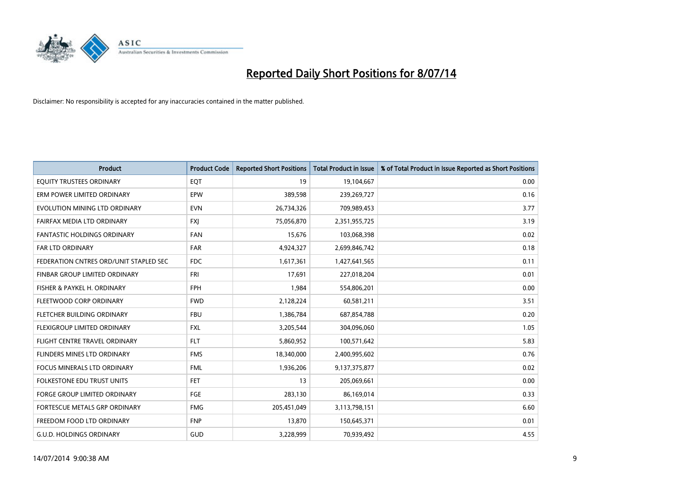

| <b>Product</b>                         | <b>Product Code</b> | <b>Reported Short Positions</b> | <b>Total Product in Issue</b> | % of Total Product in Issue Reported as Short Positions |
|----------------------------------------|---------------------|---------------------------------|-------------------------------|---------------------------------------------------------|
| EQUITY TRUSTEES ORDINARY               | EQT                 | 19                              | 19,104,667                    | 0.00                                                    |
| ERM POWER LIMITED ORDINARY             | EPW                 | 389,598                         | 239,269,727                   | 0.16                                                    |
| EVOLUTION MINING LTD ORDINARY          | <b>EVN</b>          | 26,734,326                      | 709,989,453                   | 3.77                                                    |
| FAIRFAX MEDIA LTD ORDINARY             | <b>FXI</b>          | 75,056,870                      | 2,351,955,725                 | 3.19                                                    |
| <b>FANTASTIC HOLDINGS ORDINARY</b>     | <b>FAN</b>          | 15,676                          | 103,068,398                   | 0.02                                                    |
| FAR LTD ORDINARY                       | <b>FAR</b>          | 4,924,327                       | 2,699,846,742                 | 0.18                                                    |
| FEDERATION CNTRES ORD/UNIT STAPLED SEC | <b>FDC</b>          | 1,617,361                       | 1,427,641,565                 | 0.11                                                    |
| <b>FINBAR GROUP LIMITED ORDINARY</b>   | <b>FRI</b>          | 17,691                          | 227,018,204                   | 0.01                                                    |
| FISHER & PAYKEL H. ORDINARY            | <b>FPH</b>          | 1,984                           | 554,806,201                   | 0.00                                                    |
| FLEETWOOD CORP ORDINARY                | <b>FWD</b>          | 2,128,224                       | 60,581,211                    | 3.51                                                    |
| FLETCHER BUILDING ORDINARY             | <b>FBU</b>          | 1,386,784                       | 687,854,788                   | 0.20                                                    |
| FLEXIGROUP LIMITED ORDINARY            | <b>FXL</b>          | 3,205,544                       | 304,096,060                   | 1.05                                                    |
| FLIGHT CENTRE TRAVEL ORDINARY          | <b>FLT</b>          | 5,860,952                       | 100,571,642                   | 5.83                                                    |
| FLINDERS MINES LTD ORDINARY            | <b>FMS</b>          | 18,340,000                      | 2,400,995,602                 | 0.76                                                    |
| <b>FOCUS MINERALS LTD ORDINARY</b>     | <b>FML</b>          | 1,936,206                       | 9,137,375,877                 | 0.02                                                    |
| <b>FOLKESTONE EDU TRUST UNITS</b>      | FET                 | 13                              | 205,069,661                   | 0.00                                                    |
| FORGE GROUP LIMITED ORDINARY           | FGE                 | 283,130                         | 86,169,014                    | 0.33                                                    |
| FORTESCUE METALS GRP ORDINARY          | <b>FMG</b>          | 205,451,049                     | 3,113,798,151                 | 6.60                                                    |
| FREEDOM FOOD LTD ORDINARY              | <b>FNP</b>          | 13,870                          | 150,645,371                   | 0.01                                                    |
| <b>G.U.D. HOLDINGS ORDINARY</b>        | GUD                 | 3,228,999                       | 70,939,492                    | 4.55                                                    |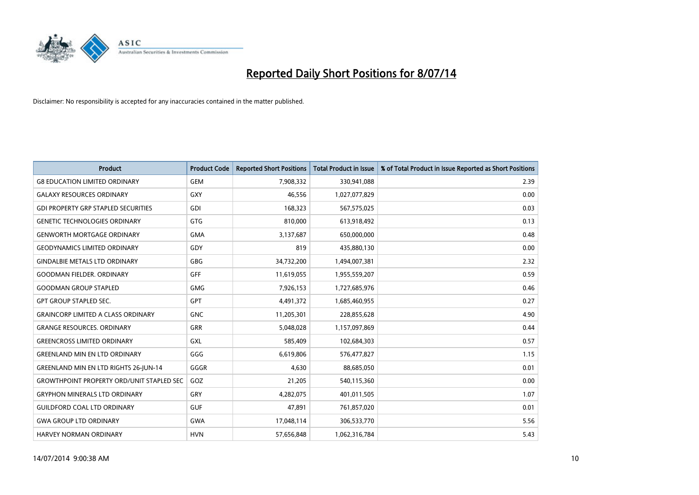

| <b>Product</b>                                   | <b>Product Code</b> | <b>Reported Short Positions</b> | <b>Total Product in Issue</b> | % of Total Product in Issue Reported as Short Positions |
|--------------------------------------------------|---------------------|---------------------------------|-------------------------------|---------------------------------------------------------|
| <b>G8 EDUCATION LIMITED ORDINARY</b>             | <b>GEM</b>          | 7,908,332                       | 330,941,088                   | 2.39                                                    |
| <b>GALAXY RESOURCES ORDINARY</b>                 | <b>GXY</b>          | 46,556                          | 1,027,077,829                 | 0.00                                                    |
| <b>GDI PROPERTY GRP STAPLED SECURITIES</b>       | GDI                 | 168,323                         | 567,575,025                   | 0.03                                                    |
| <b>GENETIC TECHNOLOGIES ORDINARY</b>             | <b>GTG</b>          | 810,000                         | 613,918,492                   | 0.13                                                    |
| <b>GENWORTH MORTGAGE ORDINARY</b>                | <b>GMA</b>          | 3,137,687                       | 650,000,000                   | 0.48                                                    |
| <b>GEODYNAMICS LIMITED ORDINARY</b>              | GDY                 | 819                             | 435,880,130                   | 0.00                                                    |
| <b>GINDALBIE METALS LTD ORDINARY</b>             | GBG                 | 34,732,200                      | 1,494,007,381                 | 2.32                                                    |
| <b>GOODMAN FIELDER. ORDINARY</b>                 | <b>GFF</b>          | 11,619,055                      | 1,955,559,207                 | 0.59                                                    |
| <b>GOODMAN GROUP STAPLED</b>                     | <b>GMG</b>          | 7,926,153                       | 1,727,685,976                 | 0.46                                                    |
| <b>GPT GROUP STAPLED SEC.</b>                    | <b>GPT</b>          | 4,491,372                       | 1,685,460,955                 | 0.27                                                    |
| <b>GRAINCORP LIMITED A CLASS ORDINARY</b>        | <b>GNC</b>          | 11,205,301                      | 228,855,628                   | 4.90                                                    |
| <b>GRANGE RESOURCES. ORDINARY</b>                | GRR                 | 5,048,028                       | 1,157,097,869                 | 0.44                                                    |
| <b>GREENCROSS LIMITED ORDINARY</b>               | <b>GXL</b>          | 585,409                         | 102,684,303                   | 0.57                                                    |
| <b>GREENLAND MIN EN LTD ORDINARY</b>             | GGG                 | 6,619,806                       | 576,477,827                   | 1.15                                                    |
| GREENLAND MIN EN LTD RIGHTS 26-JUN-14            | GGGR                | 4,630                           | 88,685,050                    | 0.01                                                    |
| <b>GROWTHPOINT PROPERTY ORD/UNIT STAPLED SEC</b> | GOZ                 | 21,205                          | 540,115,360                   | 0.00                                                    |
| <b>GRYPHON MINERALS LTD ORDINARY</b>             | GRY                 | 4,282,075                       | 401,011,505                   | 1.07                                                    |
| <b>GUILDFORD COAL LTD ORDINARY</b>               | <b>GUF</b>          | 47,891                          | 761,857,020                   | 0.01                                                    |
| <b>GWA GROUP LTD ORDINARY</b>                    | <b>GWA</b>          | 17,048,114                      | 306,533,770                   | 5.56                                                    |
| <b>HARVEY NORMAN ORDINARY</b>                    | <b>HVN</b>          | 57,656,848                      | 1,062,316,784                 | 5.43                                                    |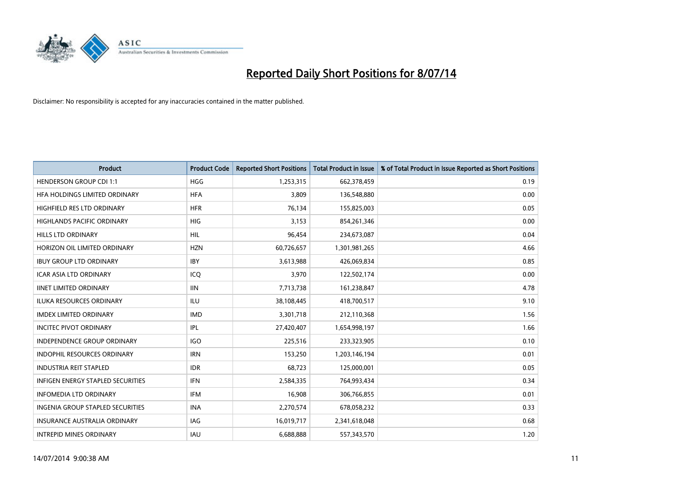

| <b>Product</b>                           | <b>Product Code</b> | <b>Reported Short Positions</b> | <b>Total Product in Issue</b> | % of Total Product in Issue Reported as Short Positions |
|------------------------------------------|---------------------|---------------------------------|-------------------------------|---------------------------------------------------------|
| <b>HENDERSON GROUP CDI 1:1</b>           | <b>HGG</b>          | 1,253,315                       | 662,378,459                   | 0.19                                                    |
| HFA HOLDINGS LIMITED ORDINARY            | <b>HFA</b>          | 3,809                           | 136,548,880                   | 0.00                                                    |
| HIGHFIELD RES LTD ORDINARY               | <b>HFR</b>          | 76,134                          | 155,825,003                   | 0.05                                                    |
| HIGHLANDS PACIFIC ORDINARY               | <b>HIG</b>          | 3,153                           | 854,261,346                   | 0.00                                                    |
| <b>HILLS LTD ORDINARY</b>                | <b>HIL</b>          | 96,454                          | 234,673,087                   | 0.04                                                    |
| HORIZON OIL LIMITED ORDINARY             | <b>HZN</b>          | 60,726,657                      | 1,301,981,265                 | 4.66                                                    |
| <b>IBUY GROUP LTD ORDINARY</b>           | <b>IBY</b>          | 3,613,988                       | 426,069,834                   | 0.85                                                    |
| <b>ICAR ASIA LTD ORDINARY</b>            | ICQ                 | 3,970                           | 122,502,174                   | 0.00                                                    |
| <b>IINET LIMITED ORDINARY</b>            | <b>IIN</b>          | 7,713,738                       | 161,238,847                   | 4.78                                                    |
| <b>ILUKA RESOURCES ORDINARY</b>          | ILU                 | 38,108,445                      | 418,700,517                   | 9.10                                                    |
| <b>IMDEX LIMITED ORDINARY</b>            | <b>IMD</b>          | 3,301,718                       | 212,110,368                   | 1.56                                                    |
| <b>INCITEC PIVOT ORDINARY</b>            | <b>IPL</b>          | 27,420,407                      | 1,654,998,197                 | 1.66                                                    |
| <b>INDEPENDENCE GROUP ORDINARY</b>       | <b>IGO</b>          | 225,516                         | 233,323,905                   | 0.10                                                    |
| <b>INDOPHIL RESOURCES ORDINARY</b>       | <b>IRN</b>          | 153,250                         | 1,203,146,194                 | 0.01                                                    |
| <b>INDUSTRIA REIT STAPLED</b>            | <b>IDR</b>          | 68,723                          | 125,000,001                   | 0.05                                                    |
| <b>INFIGEN ENERGY STAPLED SECURITIES</b> | <b>IFN</b>          | 2,584,335                       | 764,993,434                   | 0.34                                                    |
| <b>INFOMEDIA LTD ORDINARY</b>            | <b>IFM</b>          | 16,908                          | 306,766,855                   | 0.01                                                    |
| INGENIA GROUP STAPLED SECURITIES         | <b>INA</b>          | 2,270,574                       | 678,058,232                   | 0.33                                                    |
| <b>INSURANCE AUSTRALIA ORDINARY</b>      | IAG                 | 16,019,717                      | 2,341,618,048                 | 0.68                                                    |
| <b>INTREPID MINES ORDINARY</b>           | <b>IAU</b>          | 6,688,888                       | 557,343,570                   | 1.20                                                    |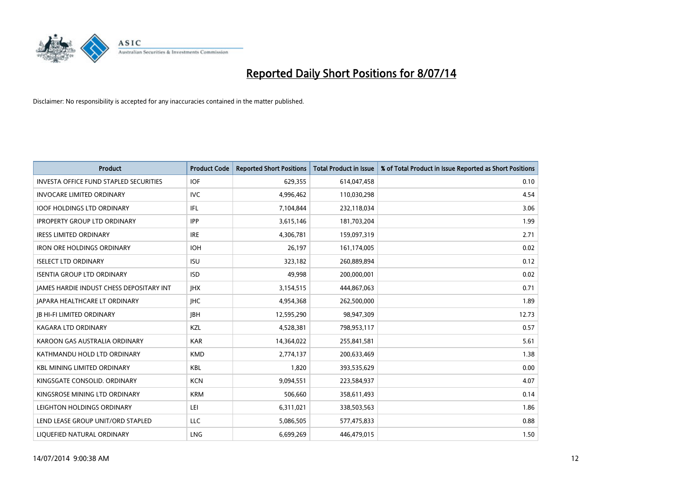

| <b>Product</b>                                | <b>Product Code</b> | <b>Reported Short Positions</b> | <b>Total Product in Issue</b> | % of Total Product in Issue Reported as Short Positions |
|-----------------------------------------------|---------------------|---------------------------------|-------------------------------|---------------------------------------------------------|
| <b>INVESTA OFFICE FUND STAPLED SECURITIES</b> | <b>IOF</b>          | 629,355                         | 614,047,458                   | 0.10                                                    |
| <b>INVOCARE LIMITED ORDINARY</b>              | <b>IVC</b>          | 4,996,462                       | 110,030,298                   | 4.54                                                    |
| <b>IOOF HOLDINGS LTD ORDINARY</b>             | IFL                 | 7,104,844                       | 232,118,034                   | 3.06                                                    |
| <b>IPROPERTY GROUP LTD ORDINARY</b>           | <b>IPP</b>          | 3,615,146                       | 181,703,204                   | 1.99                                                    |
| <b>IRESS LIMITED ORDINARY</b>                 | <b>IRE</b>          | 4,306,781                       | 159,097,319                   | 2.71                                                    |
| <b>IRON ORE HOLDINGS ORDINARY</b>             | <b>IOH</b>          | 26,197                          | 161,174,005                   | 0.02                                                    |
| <b>ISELECT LTD ORDINARY</b>                   | <b>ISU</b>          | 323,182                         | 260,889,894                   | 0.12                                                    |
| <b>ISENTIA GROUP LTD ORDINARY</b>             | <b>ISD</b>          | 49,998                          | 200,000,001                   | 0.02                                                    |
| JAMES HARDIE INDUST CHESS DEPOSITARY INT      | <b>IHX</b>          | 3,154,515                       | 444,867,063                   | 0.71                                                    |
| JAPARA HEALTHCARE LT ORDINARY                 | <b>IHC</b>          | 4,954,368                       | 262,500,000                   | 1.89                                                    |
| <b>JB HI-FI LIMITED ORDINARY</b>              | <b>JBH</b>          | 12,595,290                      | 98,947,309                    | 12.73                                                   |
| <b>KAGARA LTD ORDINARY</b>                    | KZL                 | 4,528,381                       | 798,953,117                   | 0.57                                                    |
| KAROON GAS AUSTRALIA ORDINARY                 | <b>KAR</b>          | 14,364,022                      | 255,841,581                   | 5.61                                                    |
| KATHMANDU HOLD LTD ORDINARY                   | <b>KMD</b>          | 2,774,137                       | 200,633,469                   | 1.38                                                    |
| <b>KBL MINING LIMITED ORDINARY</b>            | <b>KBL</b>          | 1,820                           | 393,535,629                   | 0.00                                                    |
| KINGSGATE CONSOLID. ORDINARY                  | <b>KCN</b>          | 9,094,551                       | 223,584,937                   | 4.07                                                    |
| KINGSROSE MINING LTD ORDINARY                 | <b>KRM</b>          | 506,660                         | 358,611,493                   | 0.14                                                    |
| LEIGHTON HOLDINGS ORDINARY                    | LEI                 | 6,311,021                       | 338,503,563                   | 1.86                                                    |
| LEND LEASE GROUP UNIT/ORD STAPLED             | <b>LLC</b>          | 5,086,505                       | 577,475,833                   | 0.88                                                    |
| LIQUEFIED NATURAL ORDINARY                    | LNG                 | 6,699,269                       | 446,479,015                   | 1.50                                                    |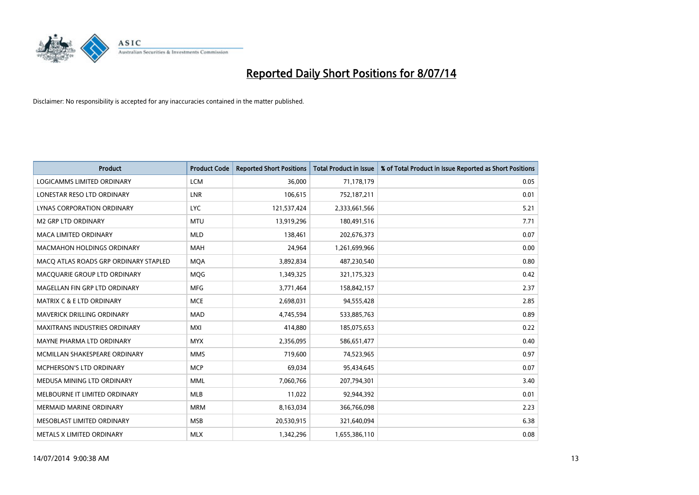

| <b>Product</b>                        | <b>Product Code</b> | <b>Reported Short Positions</b> | <b>Total Product in Issue</b> | % of Total Product in Issue Reported as Short Positions |
|---------------------------------------|---------------------|---------------------------------|-------------------------------|---------------------------------------------------------|
| <b>LOGICAMMS LIMITED ORDINARY</b>     | <b>LCM</b>          | 36,000                          | 71,178,179                    | 0.05                                                    |
| LONESTAR RESO LTD ORDINARY            | LNR                 | 106,615                         | 752,187,211                   | 0.01                                                    |
| <b>LYNAS CORPORATION ORDINARY</b>     | <b>LYC</b>          | 121,537,424                     | 2,333,661,566                 | 5.21                                                    |
| <b>M2 GRP LTD ORDINARY</b>            | <b>MTU</b>          | 13,919,296                      | 180,491,516                   | 7.71                                                    |
| <b>MACA LIMITED ORDINARY</b>          | <b>MLD</b>          | 138,461                         | 202,676,373                   | 0.07                                                    |
| <b>MACMAHON HOLDINGS ORDINARY</b>     | <b>MAH</b>          | 24,964                          | 1,261,699,966                 | 0.00                                                    |
| MACO ATLAS ROADS GRP ORDINARY STAPLED | <b>MOA</b>          | 3,892,834                       | 487,230,540                   | 0.80                                                    |
| MACQUARIE GROUP LTD ORDINARY          | MQG                 | 1,349,325                       | 321,175,323                   | 0.42                                                    |
| MAGELLAN FIN GRP LTD ORDINARY         | <b>MFG</b>          | 3,771,464                       | 158,842,157                   | 2.37                                                    |
| <b>MATRIX C &amp; E LTD ORDINARY</b>  | <b>MCE</b>          | 2,698,031                       | 94,555,428                    | 2.85                                                    |
| MAVERICK DRILLING ORDINARY            | <b>MAD</b>          | 4,745,594                       | 533,885,763                   | 0.89                                                    |
| <b>MAXITRANS INDUSTRIES ORDINARY</b>  | <b>MXI</b>          | 414,880                         | 185,075,653                   | 0.22                                                    |
| MAYNE PHARMA LTD ORDINARY             | <b>MYX</b>          | 2,356,095                       | 586,651,477                   | 0.40                                                    |
| MCMILLAN SHAKESPEARE ORDINARY         | <b>MMS</b>          | 719,600                         | 74,523,965                    | 0.97                                                    |
| <b>MCPHERSON'S LTD ORDINARY</b>       | <b>MCP</b>          | 69,034                          | 95,434,645                    | 0.07                                                    |
| MEDUSA MINING LTD ORDINARY            | <b>MML</b>          | 7,060,766                       | 207,794,301                   | 3.40                                                    |
| MELBOURNE IT LIMITED ORDINARY         | MLB                 | 11,022                          | 92,944,392                    | 0.01                                                    |
| <b>MERMAID MARINE ORDINARY</b>        | <b>MRM</b>          | 8,163,034                       | 366,766,098                   | 2.23                                                    |
| MESOBLAST LIMITED ORDINARY            | <b>MSB</b>          | 20,530,915                      | 321,640,094                   | 6.38                                                    |
| METALS X LIMITED ORDINARY             | <b>MLX</b>          | 1,342,296                       | 1,655,386,110                 | 0.08                                                    |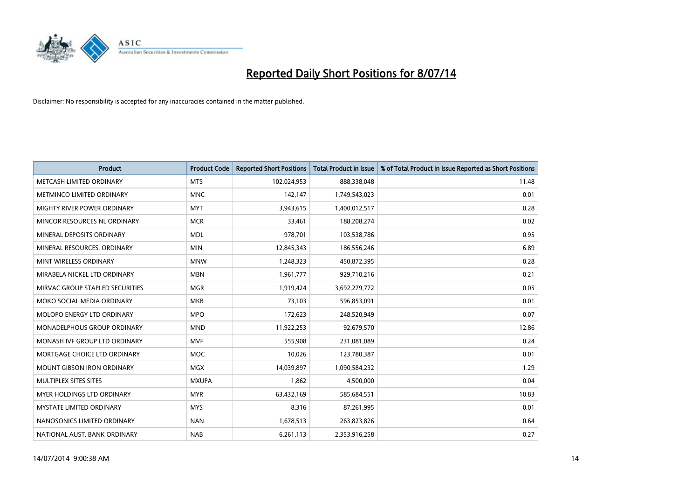

| <b>Product</b>                     | <b>Product Code</b> | <b>Reported Short Positions</b> | <b>Total Product in Issue</b> | % of Total Product in Issue Reported as Short Positions |
|------------------------------------|---------------------|---------------------------------|-------------------------------|---------------------------------------------------------|
| METCASH LIMITED ORDINARY           | <b>MTS</b>          | 102,024,953                     | 888,338,048                   | 11.48                                                   |
| METMINCO LIMITED ORDINARY          | <b>MNC</b>          | 142,147                         | 1,749,543,023                 | 0.01                                                    |
| MIGHTY RIVER POWER ORDINARY        | <b>MYT</b>          | 3,943,615                       | 1,400,012,517                 | 0.28                                                    |
| MINCOR RESOURCES NL ORDINARY       | <b>MCR</b>          | 33,461                          | 188,208,274                   | 0.02                                                    |
| MINERAL DEPOSITS ORDINARY          | <b>MDL</b>          | 978,701                         | 103,538,786                   | 0.95                                                    |
| MINERAL RESOURCES, ORDINARY        | <b>MIN</b>          | 12,845,343                      | 186,556,246                   | 6.89                                                    |
| MINT WIRELESS ORDINARY             | <b>MNW</b>          | 1,248,323                       | 450,872,395                   | 0.28                                                    |
| MIRABELA NICKEL LTD ORDINARY       | <b>MBN</b>          | 1,961,777                       | 929,710,216                   | 0.21                                                    |
| MIRVAC GROUP STAPLED SECURITIES    | <b>MGR</b>          | 1,919,424                       | 3,692,279,772                 | 0.05                                                    |
| MOKO SOCIAL MEDIA ORDINARY         | <b>MKB</b>          | 73,103                          | 596,853,091                   | 0.01                                                    |
| MOLOPO ENERGY LTD ORDINARY         | <b>MPO</b>          | 172,623                         | 248,520,949                   | 0.07                                                    |
| <b>MONADELPHOUS GROUP ORDINARY</b> | <b>MND</b>          | 11,922,253                      | 92,679,570                    | 12.86                                                   |
| MONASH IVF GROUP LTD ORDINARY      | <b>MVF</b>          | 555,908                         | 231,081,089                   | 0.24                                                    |
| MORTGAGE CHOICE LTD ORDINARY       | <b>MOC</b>          | 10,026                          | 123,780,387                   | 0.01                                                    |
| <b>MOUNT GIBSON IRON ORDINARY</b>  | <b>MGX</b>          | 14,039,897                      | 1,090,584,232                 | 1.29                                                    |
| MULTIPLEX SITES SITES              | <b>MXUPA</b>        | 1,862                           | 4,500,000                     | 0.04                                                    |
| MYER HOLDINGS LTD ORDINARY         | <b>MYR</b>          | 63,432,169                      | 585,684,551                   | 10.83                                                   |
| <b>MYSTATE LIMITED ORDINARY</b>    | <b>MYS</b>          | 8,316                           | 87,261,995                    | 0.01                                                    |
| NANOSONICS LIMITED ORDINARY        | <b>NAN</b>          | 1,678,513                       | 263,823,826                   | 0.64                                                    |
| NATIONAL AUST. BANK ORDINARY       | <b>NAB</b>          | 6,261,113                       | 2,353,916,258                 | 0.27                                                    |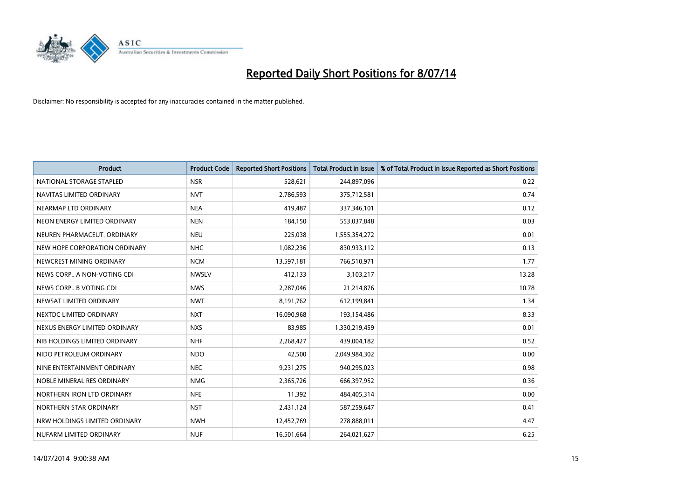

| <b>Product</b>                | <b>Product Code</b> | <b>Reported Short Positions</b> | <b>Total Product in Issue</b> | % of Total Product in Issue Reported as Short Positions |
|-------------------------------|---------------------|---------------------------------|-------------------------------|---------------------------------------------------------|
| NATIONAL STORAGE STAPLED      | <b>NSR</b>          | 528,621                         | 244,897,096                   | 0.22                                                    |
| NAVITAS LIMITED ORDINARY      | <b>NVT</b>          | 2,786,593                       | 375,712,581                   | 0.74                                                    |
| NEARMAP LTD ORDINARY          | <b>NEA</b>          | 419,487                         | 337,346,101                   | 0.12                                                    |
| NEON ENERGY LIMITED ORDINARY  | <b>NEN</b>          | 184,150                         | 553,037,848                   | 0.03                                                    |
| NEUREN PHARMACEUT, ORDINARY   | <b>NEU</b>          | 225,038                         | 1,555,354,272                 | 0.01                                                    |
| NEW HOPE CORPORATION ORDINARY | <b>NHC</b>          | 1,082,236                       | 830,933,112                   | 0.13                                                    |
| NEWCREST MINING ORDINARY      | <b>NCM</b>          | 13,597,181                      | 766,510,971                   | 1.77                                                    |
| NEWS CORP A NON-VOTING CDI    | <b>NWSLV</b>        | 412,133                         | 3,103,217                     | 13.28                                                   |
| NEWS CORP B VOTING CDI        | <b>NWS</b>          | 2,287,046                       | 21,214,876                    | 10.78                                                   |
| NEWSAT LIMITED ORDINARY       | <b>NWT</b>          | 8,191,762                       | 612,199,841                   | 1.34                                                    |
| NEXTDC LIMITED ORDINARY       | <b>NXT</b>          | 16,090,968                      | 193,154,486                   | 8.33                                                    |
| NEXUS ENERGY LIMITED ORDINARY | <b>NXS</b>          | 83,985                          | 1,330,219,459                 | 0.01                                                    |
| NIB HOLDINGS LIMITED ORDINARY | <b>NHF</b>          | 2,268,427                       | 439,004,182                   | 0.52                                                    |
| NIDO PETROLEUM ORDINARY       | <b>NDO</b>          | 42,500                          | 2,049,984,302                 | 0.00                                                    |
| NINE ENTERTAINMENT ORDINARY   | <b>NEC</b>          | 9,231,275                       | 940,295,023                   | 0.98                                                    |
| NOBLE MINERAL RES ORDINARY    | <b>NMG</b>          | 2,365,726                       | 666,397,952                   | 0.36                                                    |
| NORTHERN IRON LTD ORDINARY    | <b>NFE</b>          | 11,392                          | 484,405,314                   | 0.00                                                    |
| NORTHERN STAR ORDINARY        | <b>NST</b>          | 2,431,124                       | 587,259,647                   | 0.41                                                    |
| NRW HOLDINGS LIMITED ORDINARY | <b>NWH</b>          | 12,452,769                      | 278,888,011                   | 4.47                                                    |
| NUFARM LIMITED ORDINARY       | <b>NUF</b>          | 16,501,664                      | 264,021,627                   | 6.25                                                    |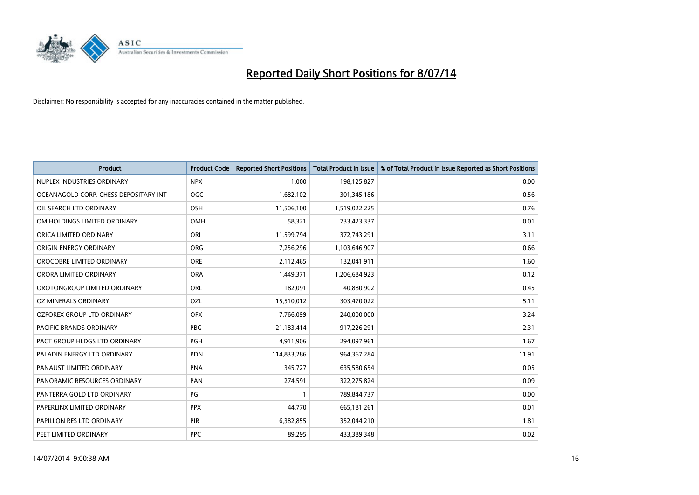

| <b>Product</b>                        | <b>Product Code</b> | <b>Reported Short Positions</b> | <b>Total Product in Issue</b> | % of Total Product in Issue Reported as Short Positions |
|---------------------------------------|---------------------|---------------------------------|-------------------------------|---------------------------------------------------------|
| NUPLEX INDUSTRIES ORDINARY            | <b>NPX</b>          | 1,000                           | 198,125,827                   | 0.00                                                    |
| OCEANAGOLD CORP. CHESS DEPOSITARY INT | <b>OGC</b>          | 1,682,102                       | 301,345,186                   | 0.56                                                    |
| OIL SEARCH LTD ORDINARY               | OSH                 | 11,506,100                      | 1,519,022,225                 | 0.76                                                    |
| OM HOLDINGS LIMITED ORDINARY          | <b>OMH</b>          | 58,321                          | 733,423,337                   | 0.01                                                    |
| ORICA LIMITED ORDINARY                | ORI                 | 11,599,794                      | 372,743,291                   | 3.11                                                    |
| ORIGIN ENERGY ORDINARY                | <b>ORG</b>          | 7,256,296                       | 1,103,646,907                 | 0.66                                                    |
| OROCOBRE LIMITED ORDINARY             | <b>ORE</b>          | 2,112,465                       | 132,041,911                   | 1.60                                                    |
| ORORA LIMITED ORDINARY                | <b>ORA</b>          | 1,449,371                       | 1,206,684,923                 | 0.12                                                    |
| OROTONGROUP LIMITED ORDINARY          | ORL                 | 182,091                         | 40,880,902                    | 0.45                                                    |
| <b>OZ MINERALS ORDINARY</b>           | <b>OZL</b>          | 15,510,012                      | 303,470,022                   | 5.11                                                    |
| OZFOREX GROUP LTD ORDINARY            | <b>OFX</b>          | 7,766,099                       | 240,000,000                   | 3.24                                                    |
| PACIFIC BRANDS ORDINARY               | <b>PBG</b>          | 21,183,414                      | 917,226,291                   | 2.31                                                    |
| PACT GROUP HLDGS LTD ORDINARY         | PGH                 | 4,911,906                       | 294,097,961                   | 1.67                                                    |
| PALADIN ENERGY LTD ORDINARY           | <b>PDN</b>          | 114,833,286                     | 964, 367, 284                 | 11.91                                                   |
| PANAUST LIMITED ORDINARY              | <b>PNA</b>          | 345,727                         | 635,580,654                   | 0.05                                                    |
| PANORAMIC RESOURCES ORDINARY          | PAN                 | 274,591                         | 322,275,824                   | 0.09                                                    |
| PANTERRA GOLD LTD ORDINARY            | PGI                 | $\mathbf{1}$                    | 789,844,737                   | 0.00                                                    |
| PAPERLINX LIMITED ORDINARY            | <b>PPX</b>          | 44,770                          | 665,181,261                   | 0.01                                                    |
| PAPILLON RES LTD ORDINARY             | PIR                 | 6,382,855                       | 352,044,210                   | 1.81                                                    |
| PEET LIMITED ORDINARY                 | <b>PPC</b>          | 89,295                          | 433,389,348                   | 0.02                                                    |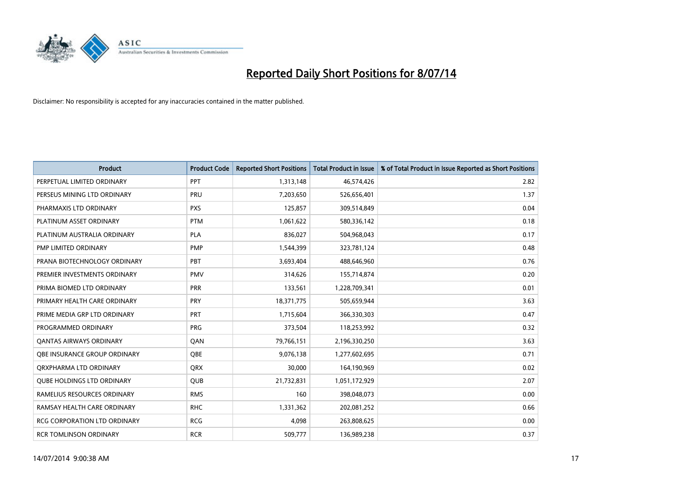

| <b>Product</b>                      | <b>Product Code</b> | <b>Reported Short Positions</b> | <b>Total Product in Issue</b> | % of Total Product in Issue Reported as Short Positions |
|-------------------------------------|---------------------|---------------------------------|-------------------------------|---------------------------------------------------------|
| PERPETUAL LIMITED ORDINARY          | PPT                 | 1,313,148                       | 46,574,426                    | 2.82                                                    |
| PERSEUS MINING LTD ORDINARY         | <b>PRU</b>          | 7,203,650                       | 526,656,401                   | 1.37                                                    |
| PHARMAXIS LTD ORDINARY              | <b>PXS</b>          | 125,857                         | 309,514,849                   | 0.04                                                    |
| PLATINUM ASSET ORDINARY             | <b>PTM</b>          | 1,061,622                       | 580,336,142                   | 0.18                                                    |
| PLATINUM AUSTRALIA ORDINARY         | <b>PLA</b>          | 836,027                         | 504,968,043                   | 0.17                                                    |
| PMP LIMITED ORDINARY                | <b>PMP</b>          | 1,544,399                       | 323,781,124                   | 0.48                                                    |
| PRANA BIOTECHNOLOGY ORDINARY        | <b>PBT</b>          | 3,693,404                       | 488,646,960                   | 0.76                                                    |
| PREMIER INVESTMENTS ORDINARY        | <b>PMV</b>          | 314,626                         | 155,714,874                   | 0.20                                                    |
| PRIMA BIOMED LTD ORDINARY           | <b>PRR</b>          | 133,561                         | 1,228,709,341                 | 0.01                                                    |
| PRIMARY HEALTH CARE ORDINARY        | <b>PRY</b>          | 18,371,775                      | 505,659,944                   | 3.63                                                    |
| PRIME MEDIA GRP LTD ORDINARY        | PRT                 | 1,715,604                       | 366,330,303                   | 0.47                                                    |
| PROGRAMMED ORDINARY                 | <b>PRG</b>          | 373,504                         | 118,253,992                   | 0.32                                                    |
| <b>QANTAS AIRWAYS ORDINARY</b>      | QAN                 | 79,766,151                      | 2,196,330,250                 | 3.63                                                    |
| OBE INSURANCE GROUP ORDINARY        | <b>OBE</b>          | 9,076,138                       | 1,277,602,695                 | 0.71                                                    |
| ORXPHARMA LTD ORDINARY              | <b>QRX</b>          | 30,000                          | 164,190,969                   | 0.02                                                    |
| <b>QUBE HOLDINGS LTD ORDINARY</b>   | <b>QUB</b>          | 21,732,831                      | 1,051,172,929                 | 2.07                                                    |
| RAMELIUS RESOURCES ORDINARY         | <b>RMS</b>          | 160                             | 398,048,073                   | 0.00                                                    |
| RAMSAY HEALTH CARE ORDINARY         | <b>RHC</b>          | 1,331,362                       | 202,081,252                   | 0.66                                                    |
| <b>RCG CORPORATION LTD ORDINARY</b> | <b>RCG</b>          | 4,098                           | 263,808,625                   | 0.00                                                    |
| <b>RCR TOMLINSON ORDINARY</b>       | <b>RCR</b>          | 509,777                         | 136,989,238                   | 0.37                                                    |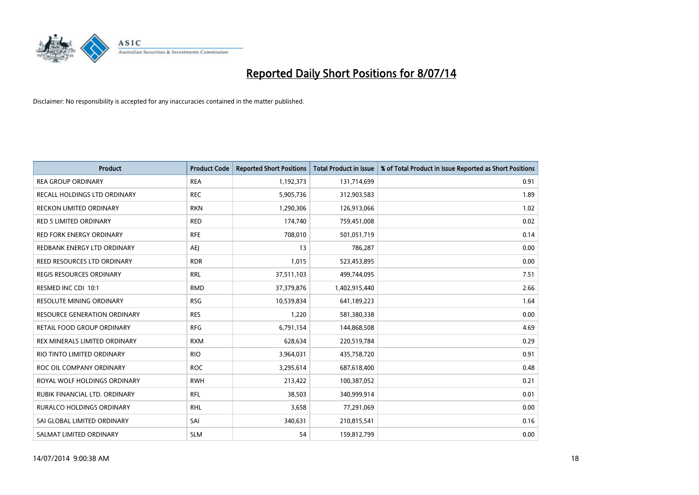

| <b>Product</b>                      | <b>Product Code</b> | <b>Reported Short Positions</b> | <b>Total Product in Issue</b> | % of Total Product in Issue Reported as Short Positions |
|-------------------------------------|---------------------|---------------------------------|-------------------------------|---------------------------------------------------------|
| <b>REA GROUP ORDINARY</b>           | <b>REA</b>          | 1,192,373                       | 131,714,699                   | 0.91                                                    |
| RECALL HOLDINGS LTD ORDINARY        | <b>REC</b>          | 5,905,736                       | 312,903,583                   | 1.89                                                    |
| <b>RECKON LIMITED ORDINARY</b>      | <b>RKN</b>          | 1,290,306                       | 126,913,066                   | 1.02                                                    |
| <b>RED 5 LIMITED ORDINARY</b>       | <b>RED</b>          | 174,740                         | 759,451,008                   | 0.02                                                    |
| <b>RED FORK ENERGY ORDINARY</b>     | <b>RFE</b>          | 708,010                         | 501,051,719                   | 0.14                                                    |
| REDBANK ENERGY LTD ORDINARY         | <b>AEJ</b>          | 13                              | 786,287                       | 0.00                                                    |
| REED RESOURCES LTD ORDINARY         | <b>RDR</b>          | 1,015                           | 523,453,895                   | 0.00                                                    |
| <b>REGIS RESOURCES ORDINARY</b>     | <b>RRL</b>          | 37,511,103                      | 499,744,095                   | 7.51                                                    |
| RESMED INC CDI 10:1                 | <b>RMD</b>          | 37,379,876                      | 1,402,915,440                 | 2.66                                                    |
| <b>RESOLUTE MINING ORDINARY</b>     | <b>RSG</b>          | 10,539,834                      | 641,189,223                   | 1.64                                                    |
| <b>RESOURCE GENERATION ORDINARY</b> | <b>RES</b>          | 1,220                           | 581,380,338                   | 0.00                                                    |
| RETAIL FOOD GROUP ORDINARY          | <b>RFG</b>          | 6,791,154                       | 144,868,508                   | 4.69                                                    |
| REX MINERALS LIMITED ORDINARY       | <b>RXM</b>          | 628,634                         | 220,519,784                   | 0.29                                                    |
| RIO TINTO LIMITED ORDINARY          | <b>RIO</b>          | 3,964,031                       | 435,758,720                   | 0.91                                                    |
| ROC OIL COMPANY ORDINARY            | <b>ROC</b>          | 3,295,614                       | 687,618,400                   | 0.48                                                    |
| ROYAL WOLF HOLDINGS ORDINARY        | <b>RWH</b>          | 213,422                         | 100,387,052                   | 0.21                                                    |
| RUBIK FINANCIAL LTD. ORDINARY       | <b>RFL</b>          | 38,503                          | 340,999,914                   | 0.01                                                    |
| <b>RURALCO HOLDINGS ORDINARY</b>    | <b>RHL</b>          | 3,658                           | 77,291,069                    | 0.00                                                    |
| SAI GLOBAL LIMITED ORDINARY         | SAI                 | 340,631                         | 210,815,541                   | 0.16                                                    |
| SALMAT LIMITED ORDINARY             | <b>SLM</b>          | 54                              | 159,812,799                   | 0.00                                                    |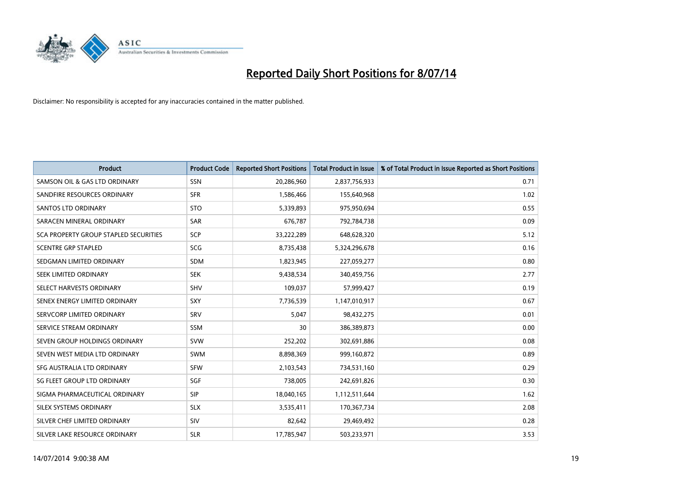

| <b>Product</b>                        | <b>Product Code</b> | <b>Reported Short Positions</b> | <b>Total Product in Issue</b> | % of Total Product in Issue Reported as Short Positions |
|---------------------------------------|---------------------|---------------------------------|-------------------------------|---------------------------------------------------------|
| SAMSON OIL & GAS LTD ORDINARY         | <b>SSN</b>          | 20,286,960                      | 2,837,756,933                 | 0.71                                                    |
| SANDFIRE RESOURCES ORDINARY           | <b>SFR</b>          | 1,586,466                       | 155,640,968                   | 1.02                                                    |
| SANTOS LTD ORDINARY                   | <b>STO</b>          | 5,339,893                       | 975,950,694                   | 0.55                                                    |
| SARACEN MINERAL ORDINARY              | <b>SAR</b>          | 676,787                         | 792,784,738                   | 0.09                                                    |
| SCA PROPERTY GROUP STAPLED SECURITIES | <b>SCP</b>          | 33,222,289                      | 648,628,320                   | 5.12                                                    |
| <b>SCENTRE GRP STAPLED</b>            | SCG                 | 8,735,438                       | 5,324,296,678                 | 0.16                                                    |
| SEDGMAN LIMITED ORDINARY              | <b>SDM</b>          | 1,823,945                       | 227,059,277                   | 0.80                                                    |
| SEEK LIMITED ORDINARY                 | <b>SEK</b>          | 9,438,534                       | 340,459,756                   | 2.77                                                    |
| SELECT HARVESTS ORDINARY              | SHV                 | 109,037                         | 57,999,427                    | 0.19                                                    |
| SENEX ENERGY LIMITED ORDINARY         | <b>SXY</b>          | 7,736,539                       | 1,147,010,917                 | 0.67                                                    |
| SERVCORP LIMITED ORDINARY             | SRV                 | 5,047                           | 98,432,275                    | 0.01                                                    |
| SERVICE STREAM ORDINARY               | SSM                 | 30                              | 386,389,873                   | 0.00                                                    |
| SEVEN GROUP HOLDINGS ORDINARY         | <b>SVW</b>          | 252,202                         | 302,691,886                   | 0.08                                                    |
| SEVEN WEST MEDIA LTD ORDINARY         | <b>SWM</b>          | 8,898,369                       | 999,160,872                   | 0.89                                                    |
| SFG AUSTRALIA LTD ORDINARY            | <b>SFW</b>          | 2,103,543                       | 734,531,160                   | 0.29                                                    |
| SG FLEET GROUP LTD ORDINARY           | SGF                 | 738,005                         | 242,691,826                   | 0.30                                                    |
| SIGMA PHARMACEUTICAL ORDINARY         | <b>SIP</b>          | 18,040,165                      | 1,112,511,644                 | 1.62                                                    |
| SILEX SYSTEMS ORDINARY                | <b>SLX</b>          | 3,535,411                       | 170,367,734                   | 2.08                                                    |
| SILVER CHEF LIMITED ORDINARY          | <b>SIV</b>          | 82,642                          | 29,469,492                    | 0.28                                                    |
| SILVER LAKE RESOURCE ORDINARY         | <b>SLR</b>          | 17,785,947                      | 503,233,971                   | 3.53                                                    |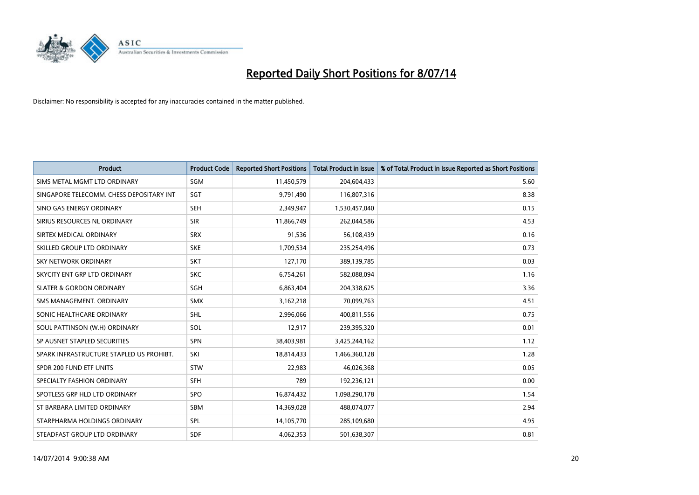

| <b>Product</b>                           | <b>Product Code</b> | <b>Reported Short Positions</b> | <b>Total Product in Issue</b> | % of Total Product in Issue Reported as Short Positions |
|------------------------------------------|---------------------|---------------------------------|-------------------------------|---------------------------------------------------------|
| SIMS METAL MGMT LTD ORDINARY             | SGM                 | 11,450,579                      | 204,604,433                   | 5.60                                                    |
| SINGAPORE TELECOMM. CHESS DEPOSITARY INT | <b>SGT</b>          | 9,791,490                       | 116,807,316                   | 8.38                                                    |
| SINO GAS ENERGY ORDINARY                 | <b>SEH</b>          | 2,349,947                       | 1,530,457,040                 | 0.15                                                    |
| SIRIUS RESOURCES NL ORDINARY             | <b>SIR</b>          | 11,866,749                      | 262,044,586                   | 4.53                                                    |
| SIRTEX MEDICAL ORDINARY                  | <b>SRX</b>          | 91,536                          | 56,108,439                    | 0.16                                                    |
| SKILLED GROUP LTD ORDINARY               | <b>SKE</b>          | 1,709,534                       | 235,254,496                   | 0.73                                                    |
| SKY NETWORK ORDINARY                     | <b>SKT</b>          | 127,170                         | 389,139,785                   | 0.03                                                    |
| SKYCITY ENT GRP LTD ORDINARY             | <b>SKC</b>          | 6,754,261                       | 582,088,094                   | 1.16                                                    |
| <b>SLATER &amp; GORDON ORDINARY</b>      | SGH                 | 6,863,404                       | 204,338,625                   | 3.36                                                    |
| SMS MANAGEMENT, ORDINARY                 | <b>SMX</b>          | 3,162,218                       | 70,099,763                    | 4.51                                                    |
| SONIC HEALTHCARE ORDINARY                | SHL                 | 2,996,066                       | 400,811,556                   | 0.75                                                    |
| SOUL PATTINSON (W.H) ORDINARY            | SOL                 | 12,917                          | 239,395,320                   | 0.01                                                    |
| SP AUSNET STAPLED SECURITIES             | SPN                 | 38,403,981                      | 3,425,244,162                 | 1.12                                                    |
| SPARK INFRASTRUCTURE STAPLED US PROHIBT. | SKI                 | 18,814,433                      | 1,466,360,128                 | 1.28                                                    |
| SPDR 200 FUND ETF UNITS                  | <b>STW</b>          | 22,983                          | 46,026,368                    | 0.05                                                    |
| SPECIALTY FASHION ORDINARY               | <b>SFH</b>          | 789                             | 192,236,121                   | 0.00                                                    |
| SPOTLESS GRP HLD LTD ORDINARY            | <b>SPO</b>          | 16,874,432                      | 1,098,290,178                 | 1.54                                                    |
| ST BARBARA LIMITED ORDINARY              | <b>SBM</b>          | 14,369,028                      | 488,074,077                   | 2.94                                                    |
| STARPHARMA HOLDINGS ORDINARY             | SPL                 | 14,105,770                      | 285,109,680                   | 4.95                                                    |
| STEADFAST GROUP LTD ORDINARY             | <b>SDF</b>          | 4,062,353                       | 501,638,307                   | 0.81                                                    |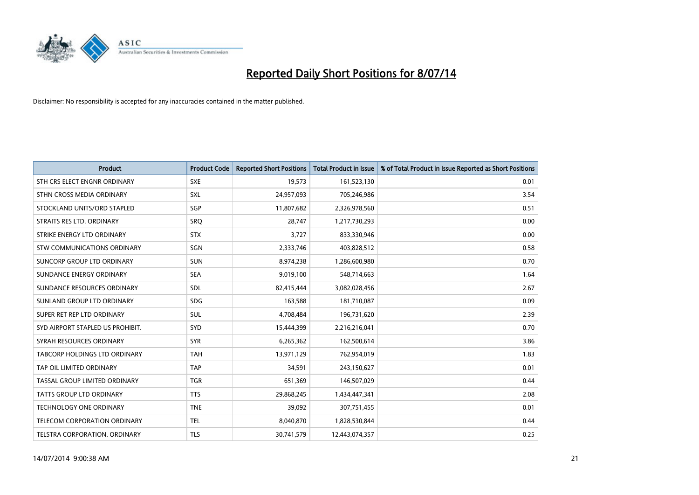

| <b>Product</b>                   | <b>Product Code</b> | <b>Reported Short Positions</b> | <b>Total Product in Issue</b> | % of Total Product in Issue Reported as Short Positions |
|----------------------------------|---------------------|---------------------------------|-------------------------------|---------------------------------------------------------|
| STH CRS ELECT ENGNR ORDINARY     | <b>SXE</b>          | 19,573                          | 161,523,130                   | 0.01                                                    |
| STHN CROSS MEDIA ORDINARY        | <b>SXL</b>          | 24,957,093                      | 705,246,986                   | 3.54                                                    |
| STOCKLAND UNITS/ORD STAPLED      | SGP                 | 11,807,682                      | 2,326,978,560                 | 0.51                                                    |
| STRAITS RES LTD. ORDINARY        | SRO                 | 28,747                          | 1,217,730,293                 | 0.00                                                    |
| STRIKE ENERGY LTD ORDINARY       | <b>STX</b>          | 3,727                           | 833,330,946                   | 0.00                                                    |
| STW COMMUNICATIONS ORDINARY      | SGN                 | 2,333,746                       | 403,828,512                   | 0.58                                                    |
| SUNCORP GROUP LTD ORDINARY       | <b>SUN</b>          | 8,974,238                       | 1,286,600,980                 | 0.70                                                    |
| SUNDANCE ENERGY ORDINARY         | <b>SEA</b>          | 9,019,100                       | 548,714,663                   | 1.64                                                    |
| SUNDANCE RESOURCES ORDINARY      | <b>SDL</b>          | 82,415,444                      | 3,082,028,456                 | 2.67                                                    |
| SUNLAND GROUP LTD ORDINARY       | <b>SDG</b>          | 163,588                         | 181,710,087                   | 0.09                                                    |
| SUPER RET REP LTD ORDINARY       | <b>SUL</b>          | 4,708,484                       | 196,731,620                   | 2.39                                                    |
| SYD AIRPORT STAPLED US PROHIBIT. | <b>SYD</b>          | 15,444,399                      | 2,216,216,041                 | 0.70                                                    |
| SYRAH RESOURCES ORDINARY         | <b>SYR</b>          | 6,265,362                       | 162,500,614                   | 3.86                                                    |
| TABCORP HOLDINGS LTD ORDINARY    | <b>TAH</b>          | 13,971,129                      | 762,954,019                   | 1.83                                                    |
| TAP OIL LIMITED ORDINARY         | <b>TAP</b>          | 34,591                          | 243,150,627                   | 0.01                                                    |
| TASSAL GROUP LIMITED ORDINARY    | <b>TGR</b>          | 651,369                         | 146,507,029                   | 0.44                                                    |
| <b>TATTS GROUP LTD ORDINARY</b>  | <b>TTS</b>          | 29,868,245                      | 1,434,447,341                 | 2.08                                                    |
| TECHNOLOGY ONE ORDINARY          | <b>TNE</b>          | 39,092                          | 307,751,455                   | 0.01                                                    |
| TELECOM CORPORATION ORDINARY     | <b>TEL</b>          | 8,040,870                       | 1,828,530,844                 | 0.44                                                    |
| TELSTRA CORPORATION, ORDINARY    | <b>TLS</b>          | 30,741,579                      | 12,443,074,357                | 0.25                                                    |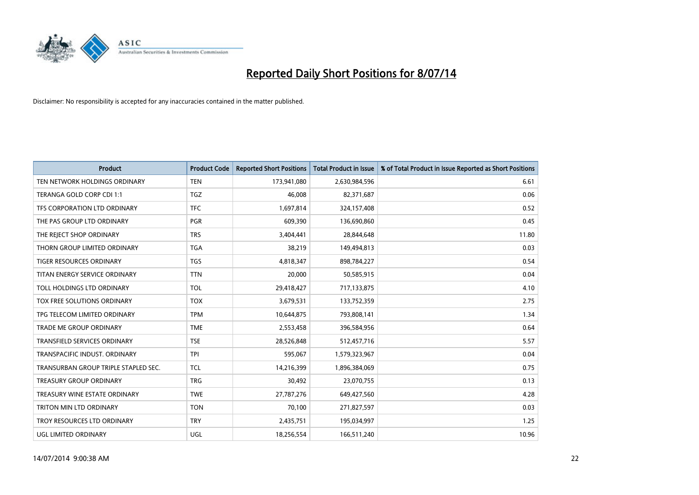

| <b>Product</b>                       | <b>Product Code</b> | <b>Reported Short Positions</b> | <b>Total Product in Issue</b> | % of Total Product in Issue Reported as Short Positions |
|--------------------------------------|---------------------|---------------------------------|-------------------------------|---------------------------------------------------------|
| TEN NETWORK HOLDINGS ORDINARY        | <b>TEN</b>          | 173,941,080                     | 2,630,984,596                 | 6.61                                                    |
| TERANGA GOLD CORP CDI 1:1            | <b>TGZ</b>          | 46,008                          | 82,371,687                    | 0.06                                                    |
| TFS CORPORATION LTD ORDINARY         | <b>TFC</b>          | 1,697,814                       | 324,157,408                   | 0.52                                                    |
| THE PAS GROUP LTD ORDINARY           | <b>PGR</b>          | 609,390                         | 136,690,860                   | 0.45                                                    |
| THE REJECT SHOP ORDINARY             | <b>TRS</b>          | 3,404,441                       | 28,844,648                    | 11.80                                                   |
| THORN GROUP LIMITED ORDINARY         | <b>TGA</b>          | 38,219                          | 149,494,813                   | 0.03                                                    |
| TIGER RESOURCES ORDINARY             | <b>TGS</b>          | 4,818,347                       | 898,784,227                   | 0.54                                                    |
| TITAN ENERGY SERVICE ORDINARY        | <b>TTN</b>          | 20,000                          | 50,585,915                    | 0.04                                                    |
| TOLL HOLDINGS LTD ORDINARY           | <b>TOL</b>          | 29,418,427                      | 717,133,875                   | 4.10                                                    |
| <b>TOX FREE SOLUTIONS ORDINARY</b>   | <b>TOX</b>          | 3,679,531                       | 133,752,359                   | 2.75                                                    |
| TPG TELECOM LIMITED ORDINARY         | <b>TPM</b>          | 10,644,875                      | 793,808,141                   | 1.34                                                    |
| <b>TRADE ME GROUP ORDINARY</b>       | <b>TME</b>          | 2,553,458                       | 396,584,956                   | 0.64                                                    |
| <b>TRANSFIELD SERVICES ORDINARY</b>  | <b>TSE</b>          | 28,526,848                      | 512,457,716                   | 5.57                                                    |
| TRANSPACIFIC INDUST, ORDINARY        | <b>TPI</b>          | 595,067                         | 1,579,323,967                 | 0.04                                                    |
| TRANSURBAN GROUP TRIPLE STAPLED SEC. | TCL                 | 14,216,399                      | 1,896,384,069                 | 0.75                                                    |
| TREASURY GROUP ORDINARY              | <b>TRG</b>          | 30,492                          | 23,070,755                    | 0.13                                                    |
| TREASURY WINE ESTATE ORDINARY        | <b>TWE</b>          | 27,787,276                      | 649,427,560                   | 4.28                                                    |
| TRITON MIN LTD ORDINARY              | <b>TON</b>          | 70,100                          | 271,827,597                   | 0.03                                                    |
| TROY RESOURCES LTD ORDINARY          | <b>TRY</b>          | 2,435,751                       | 195,034,997                   | 1.25                                                    |
| UGL LIMITED ORDINARY                 | UGL                 | 18,256,554                      | 166,511,240                   | 10.96                                                   |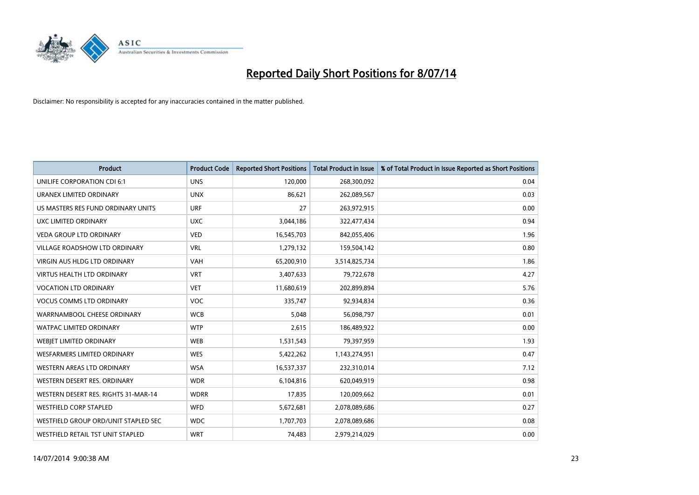

| <b>Product</b>                       | <b>Product Code</b> | <b>Reported Short Positions</b> | <b>Total Product in Issue</b> | % of Total Product in Issue Reported as Short Positions |
|--------------------------------------|---------------------|---------------------------------|-------------------------------|---------------------------------------------------------|
| UNILIFE CORPORATION CDI 6:1          | <b>UNS</b>          | 120,000                         | 268,300,092                   | 0.04                                                    |
| URANEX LIMITED ORDINARY              | <b>UNX</b>          | 86,621                          | 262,089,567                   | 0.03                                                    |
| US MASTERS RES FUND ORDINARY UNITS   | <b>URF</b>          | 27                              | 263,972,915                   | 0.00                                                    |
| UXC LIMITED ORDINARY                 | <b>UXC</b>          | 3,044,186                       | 322,477,434                   | 0.94                                                    |
| <b>VEDA GROUP LTD ORDINARY</b>       | <b>VED</b>          | 16,545,703                      | 842,055,406                   | 1.96                                                    |
| <b>VILLAGE ROADSHOW LTD ORDINARY</b> | <b>VRL</b>          | 1,279,132                       | 159,504,142                   | 0.80                                                    |
| <b>VIRGIN AUS HLDG LTD ORDINARY</b>  | <b>VAH</b>          | 65,200,910                      | 3,514,825,734                 | 1.86                                                    |
| <b>VIRTUS HEALTH LTD ORDINARY</b>    | <b>VRT</b>          | 3,407,633                       | 79,722,678                    | 4.27                                                    |
| <b>VOCATION LTD ORDINARY</b>         | <b>VET</b>          | 11,680,619                      | 202,899,894                   | 5.76                                                    |
| <b>VOCUS COMMS LTD ORDINARY</b>      | <b>VOC</b>          | 335,747                         | 92,934,834                    | 0.36                                                    |
| WARRNAMBOOL CHEESE ORDINARY          | <b>WCB</b>          | 5,048                           | 56,098,797                    | 0.01                                                    |
| <b>WATPAC LIMITED ORDINARY</b>       | <b>WTP</b>          | 2,615                           | 186,489,922                   | 0.00                                                    |
| WEBJET LIMITED ORDINARY              | <b>WEB</b>          | 1,531,543                       | 79,397,959                    | 1.93                                                    |
| <b>WESFARMERS LIMITED ORDINARY</b>   | <b>WES</b>          | 5,422,262                       | 1,143,274,951                 | 0.47                                                    |
| WESTERN AREAS LTD ORDINARY           | <b>WSA</b>          | 16,537,337                      | 232,310,014                   | 7.12                                                    |
| WESTERN DESERT RES. ORDINARY         | <b>WDR</b>          | 6,104,816                       | 620,049,919                   | 0.98                                                    |
| WESTERN DESERT RES. RIGHTS 31-MAR-14 | <b>WDRR</b>         | 17,835                          | 120,009,662                   | 0.01                                                    |
| <b>WESTFIELD CORP STAPLED</b>        | WFD                 | 5,672,681                       | 2,078,089,686                 | 0.27                                                    |
| WESTFIELD GROUP ORD/UNIT STAPLED SEC | <b>WDC</b>          | 1,707,703                       | 2,078,089,686                 | 0.08                                                    |
| WESTFIELD RETAIL TST UNIT STAPLED    | <b>WRT</b>          | 74,483                          | 2,979,214,029                 | 0.00                                                    |